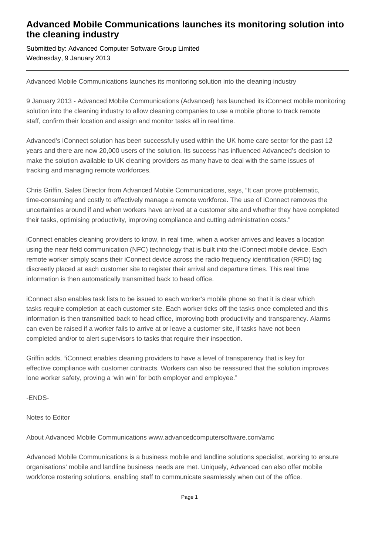## **Advanced Mobile Communications launches its monitoring solution into the cleaning industry**

Submitted by: Advanced Computer Software Group Limited Wednesday, 9 January 2013

Advanced Mobile Communications launches its monitoring solution into the cleaning industry

9 January 2013 - Advanced Mobile Communications (Advanced) has launched its iConnect mobile monitoring solution into the cleaning industry to allow cleaning companies to use a mobile phone to track remote staff, confirm their location and assign and monitor tasks all in real time.

Advanced's iConnect solution has been successfully used within the UK home care sector for the past 12 years and there are now 20,000 users of the solution. Its success has influenced Advanced's decision to make the solution available to UK cleaning providers as many have to deal with the same issues of tracking and managing remote workforces.

Chris Griffin, Sales Director from Advanced Mobile Communications, says, "It can prove problematic, time-consuming and costly to effectively manage a remote workforce. The use of iConnect removes the uncertainties around if and when workers have arrived at a customer site and whether they have completed their tasks, optimising productivity, improving compliance and cutting administration costs."

iConnect enables cleaning providers to know, in real time, when a worker arrives and leaves a location using the near field communication (NFC) technology that is built into the iConnect mobile device. Each remote worker simply scans their iConnect device across the radio frequency identification (RFID) tag discreetly placed at each customer site to register their arrival and departure times. This real time information is then automatically transmitted back to head office.

iConnect also enables task lists to be issued to each worker's mobile phone so that it is clear which tasks require completion at each customer site. Each worker ticks off the tasks once completed and this information is then transmitted back to head office, improving both productivity and transparency. Alarms can even be raised if a worker fails to arrive at or leave a customer site, if tasks have not been completed and/or to alert supervisors to tasks that require their inspection.

Griffin adds, "iConnect enables cleaning providers to have a level of transparency that is key for effective compliance with customer contracts. Workers can also be reassured that the solution improves lone worker safety, proving a 'win win' for both employer and employee."

-ENDS-

Notes to Editor

About Advanced Mobile Communications www.advancedcomputersoftware.com/amc

Advanced Mobile Communications is a business mobile and landline solutions specialist, working to ensure organisations' mobile and landline business needs are met. Uniquely, Advanced can also offer mobile workforce rostering solutions, enabling staff to communicate seamlessly when out of the office.